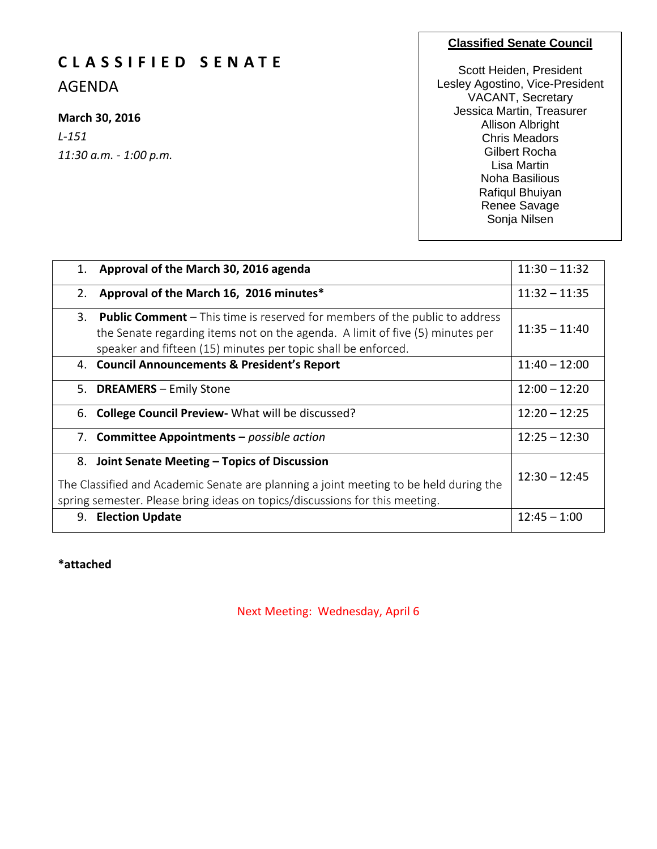# **C L A S S I F I E D S E N A T E**

AGENDA

### **March 30, 2016**

*L-151 11:30 a.m. - 1:00 p.m.*

### **Classified Senate Council**

Scott Heiden, President Lesley Agostino, Vice-President VACANT, Secretary Jessica Martin, Treasurer Allison Albright Chris Meadors Gilbert Rocha Lisa Martin Noha Basilious Rafiqul Bhuiyan Renee Savage Sonja Nilsen

| 1. | Approval of the March 30, 2016 agenda                                                                                                                                                                                                | $11:30 - 11:32$ |
|----|--------------------------------------------------------------------------------------------------------------------------------------------------------------------------------------------------------------------------------------|-----------------|
| 2. | Approval of the March 16, 2016 minutes*                                                                                                                                                                                              | $11:32 - 11:35$ |
| 3. | <b>Public Comment</b> – This time is reserved for members of the public to address<br>the Senate regarding items not on the agenda. A limit of five (5) minutes per<br>speaker and fifteen (15) minutes per topic shall be enforced. | $11:35 - 11:40$ |
|    | 4. Council Announcements & President's Report                                                                                                                                                                                        | $11:40 - 12:00$ |
|    | 5. DREAMERS - Emily Stone                                                                                                                                                                                                            | $12:00 - 12:20$ |
|    | 6. College Council Preview - What will be discussed?                                                                                                                                                                                 | $12:20 - 12:25$ |
|    | 7. Committee Appointments - possible action                                                                                                                                                                                          | $12:25 - 12:30$ |
|    | 8. Joint Senate Meeting - Topics of Discussion<br>The Classified and Academic Senate are planning a joint meeting to be held during the<br>spring semester. Please bring ideas on topics/discussions for this meeting.               | $12:30 - 12:45$ |
| 9. | <b>Election Update</b>                                                                                                                                                                                                               | $12:45 - 1:00$  |

**\*attached**

Next Meeting: Wednesday, April 6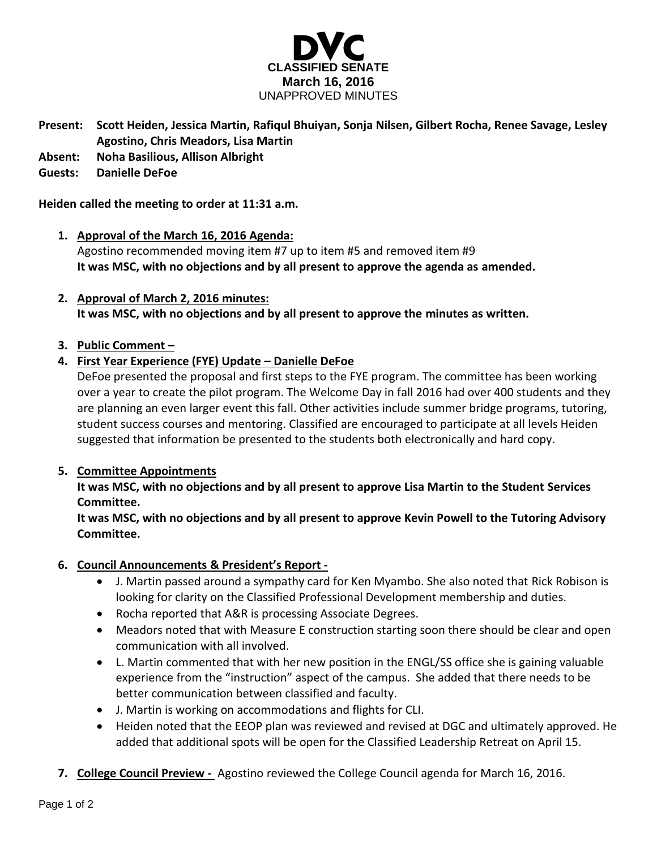

- **Present: Scott Heiden, Jessica Martin, Rafiqul Bhuiyan, Sonja Nilsen, Gilbert Rocha, Renee Savage, Lesley Agostino, Chris Meadors, Lisa Martin**
- **Absent: Noha Basilious, Allison Albright**

### **Guests: Danielle DeFoe**

### **Heiden called the meeting to order at 11:31 a.m.**

- **1. Approval of the March 16, 2016 Agenda:** Agostino recommended moving item #7 up to item #5 and removed item #9 **It was MSC, with no objections and by all present to approve the agenda as amended.**
- **2. Approval of March 2, 2016 minutes: It was MSC, with no objections and by all present to approve the minutes as written.**

### **3. Public Comment –**

## **4. First Year Experience (FYE) Update – Danielle DeFoe**

DeFoe presented the proposal and first steps to the FYE program. The committee has been working over a year to create the pilot program. The Welcome Day in fall 2016 had over 400 students and they are planning an even larger event this fall. Other activities include summer bridge programs, tutoring, student success courses and mentoring. Classified are encouraged to participate at all levels Heiden suggested that information be presented to the students both electronically and hard copy.

### **5. Committee Appointments**

**It was MSC, with no objections and by all present to approve Lisa Martin to the Student Services Committee.**

**It was MSC, with no objections and by all present to approve Kevin Powell to the Tutoring Advisory Committee.**

### **6. Council Announcements & President's Report -**

- J. Martin passed around a sympathy card for Ken Myambo. She also noted that Rick Robison is looking for clarity on the Classified Professional Development membership and duties.
- Rocha reported that A&R is processing Associate Degrees.
- Meadors noted that with Measure E construction starting soon there should be clear and open communication with all involved.
- L. Martin commented that with her new position in the ENGL/SS office she is gaining valuable experience from the "instruction" aspect of the campus. She added that there needs to be better communication between classified and faculty.
- J. Martin is working on accommodations and flights for CLI.
- Heiden noted that the EEOP plan was reviewed and revised at DGC and ultimately approved. He added that additional spots will be open for the Classified Leadership Retreat on April 15.
- **7. College Council Preview -** Agostino reviewed the College Council agenda for March 16, 2016.